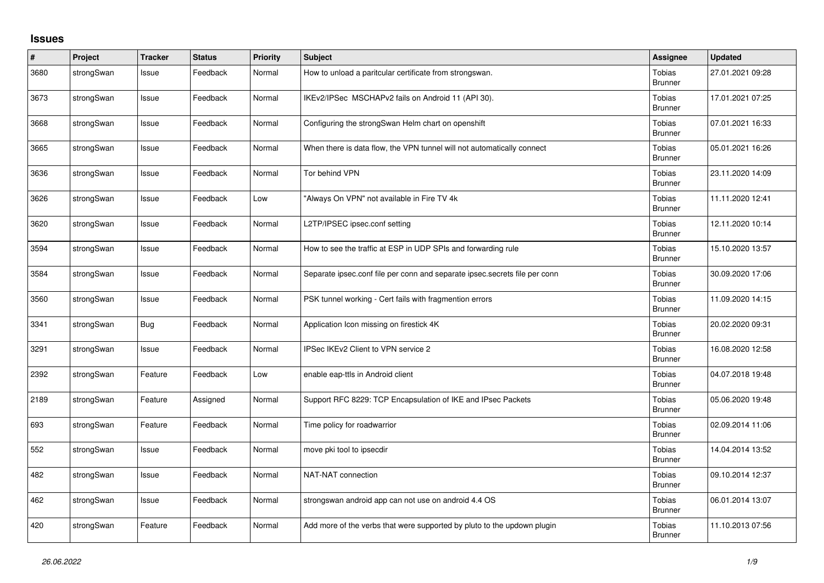## **Issues**

| $\vert$ # | Project    | <b>Tracker</b> | <b>Status</b> | <b>Priority</b> | <b>Subject</b>                                                             | <b>Assignee</b>                 | <b>Updated</b>   |
|-----------|------------|----------------|---------------|-----------------|----------------------------------------------------------------------------|---------------------------------|------------------|
| 3680      | strongSwan | Issue          | Feedback      | Normal          | How to unload a paritcular certificate from strongswan.                    | <b>Tobias</b><br><b>Brunner</b> | 27.01.2021 09:28 |
| 3673      | strongSwan | Issue          | Feedback      | Normal          | IKEv2/IPSec MSCHAPv2 fails on Android 11 (API 30).                         | Tobias<br><b>Brunner</b>        | 17.01.2021 07:25 |
| 3668      | strongSwan | Issue          | Feedback      | Normal          | Configuring the strongSwan Helm chart on openshift                         | Tobias<br><b>Brunner</b>        | 07.01.2021 16:33 |
| 3665      | strongSwan | Issue          | Feedback      | Normal          | When there is data flow, the VPN tunnel will not automatically connect     | Tobias<br><b>Brunner</b>        | 05.01.2021 16:26 |
| 3636      | strongSwan | Issue          | Feedback      | Normal          | Tor behind VPN                                                             | <b>Tobias</b><br><b>Brunner</b> | 23.11.2020 14:09 |
| 3626      | strongSwan | Issue          | Feedback      | Low             | "Always On VPN" not available in Fire TV 4k                                | Tobias<br>Brunner               | 11.11.2020 12:41 |
| 3620      | strongSwan | Issue          | Feedback      | Normal          | L2TP/IPSEC ipsec.conf setting                                              | <b>Tobias</b><br><b>Brunner</b> | 12.11.2020 10:14 |
| 3594      | strongSwan | Issue          | Feedback      | Normal          | How to see the traffic at ESP in UDP SPIs and forwarding rule              | Tobias<br><b>Brunner</b>        | 15.10.2020 13:57 |
| 3584      | strongSwan | Issue          | Feedback      | Normal          | Separate ipsec.conf file per conn and separate ipsec.secrets file per conn | Tobias<br><b>Brunner</b>        | 30.09.2020 17:06 |
| 3560      | strongSwan | Issue          | Feedback      | Normal          | PSK tunnel working - Cert fails with fragmention errors                    | Tobias<br><b>Brunner</b>        | 11.09.2020 14:15 |
| 3341      | strongSwan | Bug            | Feedback      | Normal          | Application Icon missing on firestick 4K                                   | Tobias<br><b>Brunner</b>        | 20.02.2020 09:31 |
| 3291      | strongSwan | Issue          | Feedback      | Normal          | IPSec IKEv2 Client to VPN service 2                                        | Tobias<br><b>Brunner</b>        | 16.08.2020 12:58 |
| 2392      | strongSwan | Feature        | Feedback      | Low             | enable eap-ttls in Android client                                          | Tobias<br><b>Brunner</b>        | 04.07.2018 19:48 |
| 2189      | strongSwan | Feature        | Assigned      | Normal          | Support RFC 8229: TCP Encapsulation of IKE and IPsec Packets               | Tobias<br><b>Brunner</b>        | 05.06.2020 19:48 |
| 693       | strongSwan | Feature        | Feedback      | Normal          | Time policy for roadwarrior                                                | <b>Tobias</b><br><b>Brunner</b> | 02.09.2014 11:06 |
| 552       | strongSwan | Issue          | Feedback      | Normal          | move pki tool to ipsecdir                                                  | <b>Tobias</b><br><b>Brunner</b> | 14.04.2014 13:52 |
| 482       | strongSwan | Issue          | Feedback      | Normal          | NAT-NAT connection                                                         | Tobias<br><b>Brunner</b>        | 09.10.2014 12:37 |
| 462       | strongSwan | Issue          | Feedback      | Normal          | strongswan android app can not use on android 4.4 OS                       | Tobias<br><b>Brunner</b>        | 06.01.2014 13:07 |
| 420       | strongSwan | Feature        | Feedback      | Normal          | Add more of the verbs that were supported by pluto to the updown plugin    | <b>Tobias</b><br><b>Brunner</b> | 11.10.2013 07:56 |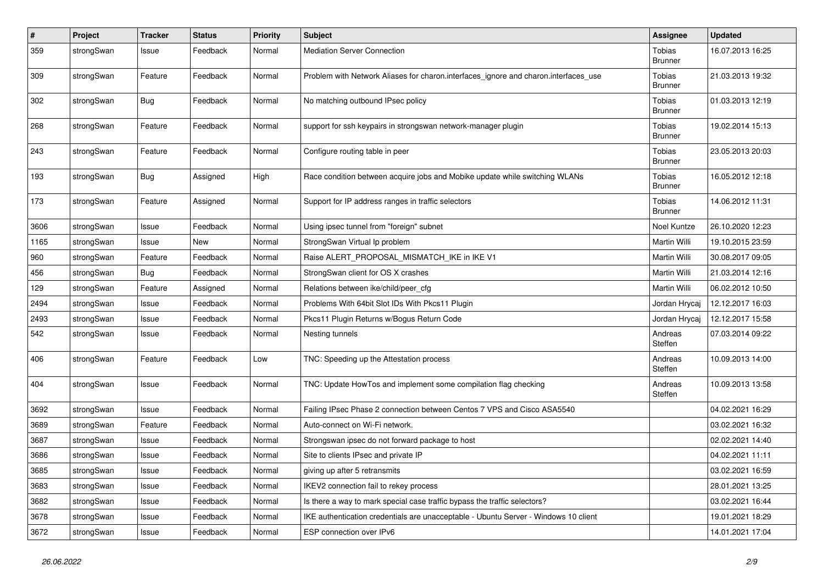| $\sharp$ | Project    | <b>Tracker</b> | <b>Status</b> | <b>Priority</b> | Subject                                                                             | <b>Assignee</b>          | <b>Updated</b>   |
|----------|------------|----------------|---------------|-----------------|-------------------------------------------------------------------------------------|--------------------------|------------------|
| 359      | strongSwan | Issue          | Feedback      | Normal          | <b>Mediation Server Connection</b>                                                  | Tobias<br><b>Brunner</b> | 16.07.2013 16:25 |
| 309      | strongSwan | Feature        | Feedback      | Normal          | Problem with Network Aliases for charon.interfaces_ignore and charon.interfaces_use | Tobias<br><b>Brunner</b> | 21.03.2013 19:32 |
| 302      | strongSwan | <b>Bug</b>     | Feedback      | Normal          | No matching outbound IPsec policy                                                   | Tobias<br>Brunner        | 01.03.2013 12:19 |
| 268      | strongSwan | Feature        | Feedback      | Normal          | support for ssh keypairs in strongswan network-manager plugin                       | Tobias<br><b>Brunner</b> | 19.02.2014 15:13 |
| 243      | strongSwan | Feature        | Feedback      | Normal          | Configure routing table in peer                                                     | Tobias<br>Brunner        | 23.05.2013 20:03 |
| 193      | strongSwan | Bug            | Assigned      | High            | Race condition between acquire jobs and Mobike update while switching WLANs         | Tobias<br><b>Brunner</b> | 16.05.2012 12:18 |
| 173      | strongSwan | Feature        | Assigned      | Normal          | Support for IP address ranges in traffic selectors                                  | Tobias<br><b>Brunner</b> | 14.06.2012 11:31 |
| 3606     | strongSwan | Issue          | Feedback      | Normal          | Using ipsec tunnel from "foreign" subnet                                            | Noel Kuntze              | 26.10.2020 12:23 |
| 1165     | strongSwan | Issue          | New           | Normal          | StrongSwan Virtual Ip problem                                                       | Martin Willi             | 19.10.2015 23:59 |
| 960      | strongSwan | Feature        | Feedback      | Normal          | Raise ALERT_PROPOSAL_MISMATCH_IKE in IKE V1                                         | Martin Willi             | 30.08.2017 09:05 |
| 456      | strongSwan | Bug            | Feedback      | Normal          | StrongSwan client for OS X crashes                                                  | Martin Willi             | 21.03.2014 12:16 |
| 129      | strongSwan | Feature        | Assigned      | Normal          | Relations between ike/child/peer cfg                                                | Martin Willi             | 06.02.2012 10:50 |
| 2494     | strongSwan | Issue          | Feedback      | Normal          | Problems With 64bit Slot IDs With Pkcs11 Plugin                                     | Jordan Hrycaj            | 12.12.2017 16:03 |
| 2493     | strongSwan | Issue          | Feedback      | Normal          | Pkcs11 Plugin Returns w/Bogus Return Code                                           | Jordan Hrycaj            | 12.12.2017 15:58 |
| 542      | strongSwan | Issue          | Feedback      | Normal          | Nesting tunnels                                                                     | Andreas<br>Steffen       | 07.03.2014 09:22 |
| 406      | strongSwan | Feature        | Feedback      | Low             | TNC: Speeding up the Attestation process                                            | Andreas<br>Steffen       | 10.09.2013 14:00 |
| 404      | strongSwan | Issue          | Feedback      | Normal          | TNC: Update HowTos and implement some compilation flag checking                     | Andreas<br>Steffen       | 10.09.2013 13:58 |
| 3692     | strongSwan | Issue          | Feedback      | Normal          | Failing IPsec Phase 2 connection between Centos 7 VPS and Cisco ASA5540             |                          | 04.02.2021 16:29 |
| 3689     | strongSwan | Feature        | Feedback      | Normal          | Auto-connect on Wi-Fi network.                                                      |                          | 03.02.2021 16:32 |
| 3687     | strongSwan | Issue          | Feedback      | Normal          | Strongswan ipsec do not forward package to host                                     |                          | 02.02.2021 14:40 |
| 3686     | strongSwan | Issue          | Feedback      | Normal          | Site to clients IPsec and private IP                                                |                          | 04.02.2021 11:11 |
| 3685     | strongSwan | Issue          | Feedback      | Normal          | giving up after 5 retransmits                                                       |                          | 03.02.2021 16:59 |
| 3683     | strongSwan | Issue          | Feedback      | Normal          | IKEV2 connection fail to rekey process                                              |                          | 28.01.2021 13:25 |
| 3682     | strongSwan | Issue          | Feedback      | Normal          | Is there a way to mark special case traffic bypass the traffic selectors?           |                          | 03.02.2021 16:44 |
| 3678     | strongSwan | Issue          | Feedback      | Normal          | IKE authentication credentials are unacceptable - Ubuntu Server - Windows 10 client |                          | 19.01.2021 18:29 |
| 3672     | strongSwan | Issue          | Feedback      | Normal          | ESP connection over IPv6                                                            |                          | 14.01.2021 17:04 |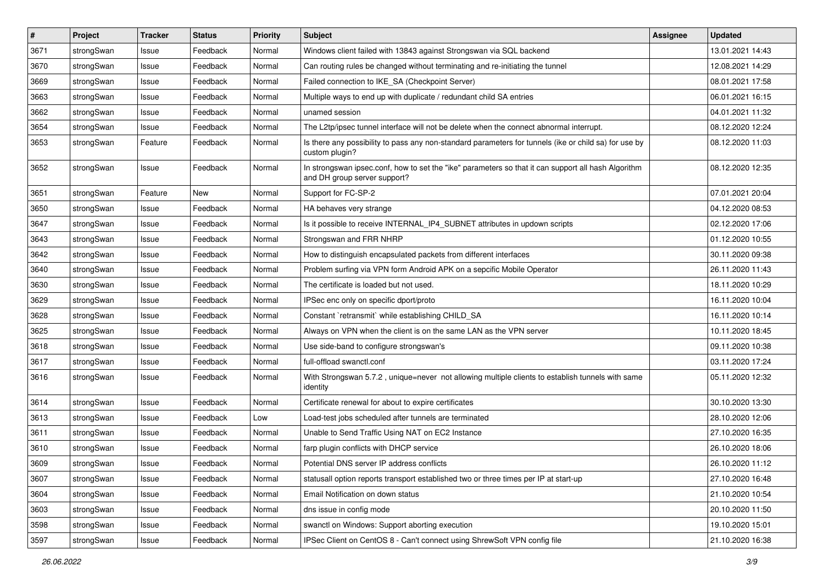| $\sharp$ | Project    | <b>Tracker</b> | <b>Status</b> | <b>Priority</b> | <b>Subject</b>                                                                                                                      | Assignee | <b>Updated</b>   |
|----------|------------|----------------|---------------|-----------------|-------------------------------------------------------------------------------------------------------------------------------------|----------|------------------|
| 3671     | strongSwan | Issue          | Feedback      | Normal          | Windows client failed with 13843 against Strongswan via SQL backend                                                                 |          | 13.01.2021 14:43 |
| 3670     | strongSwan | Issue          | Feedback      | Normal          | Can routing rules be changed without terminating and re-initiating the tunnel                                                       |          | 12.08.2021 14:29 |
| 3669     | strongSwan | Issue          | Feedback      | Normal          | Failed connection to IKE_SA (Checkpoint Server)                                                                                     |          | 08.01.2021 17:58 |
| 3663     | strongSwan | Issue          | Feedback      | Normal          | Multiple ways to end up with duplicate / redundant child SA entries                                                                 |          | 06.01.2021 16:15 |
| 3662     | strongSwan | Issue          | Feedback      | Normal          | unamed session                                                                                                                      |          | 04.01.2021 11:32 |
| 3654     | strongSwan | Issue          | Feedback      | Normal          | The L2tp/ipsec tunnel interface will not be delete when the connect abnormal interrupt.                                             |          | 08.12.2020 12:24 |
| 3653     | strongSwan | Feature        | Feedback      | Normal          | Is there any possibility to pass any non-standard parameters for tunnels (ike or child sa) for use by<br>custom plugin?             |          | 08.12.2020 11:03 |
| 3652     | strongSwan | Issue          | Feedback      | Normal          | In strongswan ipsec.conf, how to set the "ike" parameters so that it can support all hash Algorithm<br>and DH group server support? |          | 08.12.2020 12:35 |
| 3651     | strongSwan | Feature        | New           | Normal          | Support for FC-SP-2                                                                                                                 |          | 07.01.2021 20:04 |
| 3650     | strongSwan | Issue          | Feedback      | Normal          | HA behaves very strange                                                                                                             |          | 04.12.2020 08:53 |
| 3647     | strongSwan | Issue          | Feedback      | Normal          | Is it possible to receive INTERNAL_IP4_SUBNET attributes in updown scripts                                                          |          | 02.12.2020 17:06 |
| 3643     | strongSwan | Issue          | Feedback      | Normal          | Strongswan and FRR NHRP                                                                                                             |          | 01.12.2020 10:55 |
| 3642     | strongSwan | Issue          | Feedback      | Normal          | How to distinguish encapsulated packets from different interfaces                                                                   |          | 30.11.2020 09:38 |
| 3640     | strongSwan | Issue          | Feedback      | Normal          | Problem surfing via VPN form Android APK on a sepcific Mobile Operator                                                              |          | 26.11.2020 11:43 |
| 3630     | strongSwan | Issue          | Feedback      | Normal          | The certificate is loaded but not used.                                                                                             |          | 18.11.2020 10:29 |
| 3629     | strongSwan | Issue          | Feedback      | Normal          | IPSec enc only on specific dport/proto                                                                                              |          | 16.11.2020 10:04 |
| 3628     | strongSwan | Issue          | Feedback      | Normal          | Constant `retransmit` while establishing CHILD_SA                                                                                   |          | 16.11.2020 10:14 |
| 3625     | strongSwan | Issue          | Feedback      | Normal          | Always on VPN when the client is on the same LAN as the VPN server                                                                  |          | 10.11.2020 18:45 |
| 3618     | strongSwan | Issue          | Feedback      | Normal          | Use side-band to configure strongswan's                                                                                             |          | 09.11.2020 10:38 |
| 3617     | strongSwan | Issue          | Feedback      | Normal          | full-offload swanctl.conf                                                                                                           |          | 03.11.2020 17:24 |
| 3616     | strongSwan | Issue          | Feedback      | Normal          | With Strongswan 5.7.2, unique=never not allowing multiple clients to establish tunnels with same<br>identity                        |          | 05.11.2020 12:32 |
| 3614     | strongSwan | Issue          | Feedback      | Normal          | Certificate renewal for about to expire certificates                                                                                |          | 30.10.2020 13:30 |
| 3613     | strongSwan | Issue          | Feedback      | Low             | Load-test jobs scheduled after tunnels are terminated                                                                               |          | 28.10.2020 12:06 |
| 3611     | strongSwan | Issue          | Feedback      | Normal          | Unable to Send Traffic Using NAT on EC2 Instance                                                                                    |          | 27.10.2020 16:35 |
| 3610     | strongSwan | Issue          | Feedback      | Normal          | farp plugin conflicts with DHCP service                                                                                             |          | 26.10.2020 18:06 |
| 3609     | strongSwan | Issue          | Feedback      | Normal          | Potential DNS server IP address conflicts                                                                                           |          | 26.10.2020 11:12 |
| 3607     | strongSwan | Issue          | Feedback      | Normal          | statusall option reports transport established two or three times per IP at start-up                                                |          | 27.10.2020 16:48 |
| 3604     | strongSwan | Issue          | Feedback      | Normal          | Email Notification on down status                                                                                                   |          | 21.10.2020 10:54 |
| 3603     | strongSwan | Issue          | Feedback      | Normal          | dns issue in config mode                                                                                                            |          | 20.10.2020 11:50 |
| 3598     | strongSwan | Issue          | Feedback      | Normal          | swanctl on Windows: Support aborting execution                                                                                      |          | 19.10.2020 15:01 |
| 3597     | strongSwan | Issue          | Feedback      | Normal          | IPSec Client on CentOS 8 - Can't connect using ShrewSoft VPN config file                                                            |          | 21.10.2020 16:38 |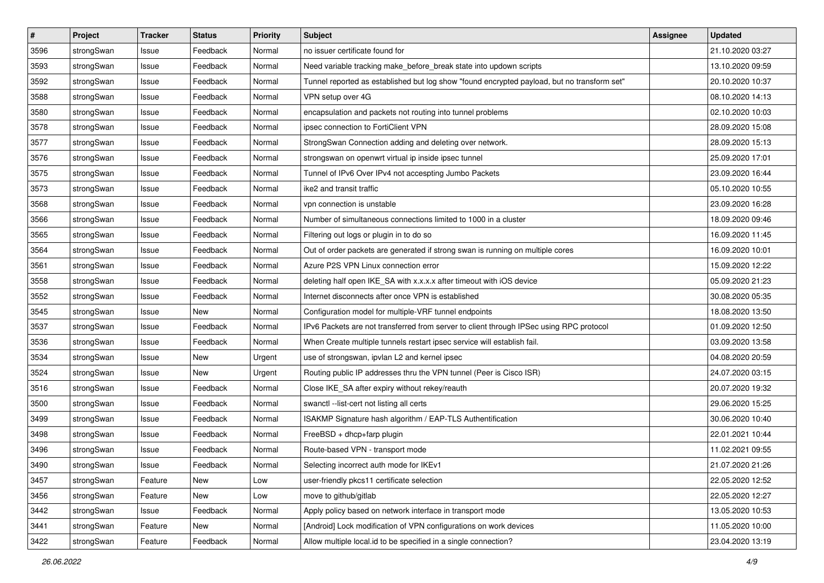| $\pmb{\#}$ | Project    | <b>Tracker</b> | <b>Status</b> | <b>Priority</b> | <b>Subject</b>                                                                              | Assignee | <b>Updated</b>   |
|------------|------------|----------------|---------------|-----------------|---------------------------------------------------------------------------------------------|----------|------------------|
| 3596       | strongSwan | Issue          | Feedback      | Normal          | no issuer certificate found for                                                             |          | 21.10.2020 03:27 |
| 3593       | strongSwan | Issue          | Feedback      | Normal          | Need variable tracking make_before_break state into updown scripts                          |          | 13.10.2020 09:59 |
| 3592       | strongSwan | Issue          | Feedback      | Normal          | Tunnel reported as established but log show "found encrypted payload, but no transform set" |          | 20.10.2020 10:37 |
| 3588       | strongSwan | Issue          | Feedback      | Normal          | VPN setup over 4G                                                                           |          | 08.10.2020 14:13 |
| 3580       | strongSwan | Issue          | Feedback      | Normal          | encapsulation and packets not routing into tunnel problems                                  |          | 02.10.2020 10:03 |
| 3578       | strongSwan | Issue          | Feedback      | Normal          | ipsec connection to FortiClient VPN                                                         |          | 28.09.2020 15:08 |
| 3577       | strongSwan | Issue          | Feedback      | Normal          | StrongSwan Connection adding and deleting over network.                                     |          | 28.09.2020 15:13 |
| 3576       | strongSwan | Issue          | Feedback      | Normal          | strongswan on openwrt virtual ip inside ipsec tunnel                                        |          | 25.09.2020 17:01 |
| 3575       | strongSwan | Issue          | Feedback      | Normal          | Tunnel of IPv6 Over IPv4 not accespting Jumbo Packets                                       |          | 23.09.2020 16:44 |
| 3573       | strongSwan | Issue          | Feedback      | Normal          | ike2 and transit traffic                                                                    |          | 05.10.2020 10:55 |
| 3568       | strongSwan | Issue          | Feedback      | Normal          | vpn connection is unstable                                                                  |          | 23.09.2020 16:28 |
| 3566       | strongSwan | Issue          | Feedback      | Normal          | Number of simultaneous connections limited to 1000 in a cluster                             |          | 18.09.2020 09:46 |
| 3565       | strongSwan | Issue          | Feedback      | Normal          | Filtering out logs or plugin in to do so                                                    |          | 16.09.2020 11:45 |
| 3564       | strongSwan | lssue          | Feedback      | Normal          | Out of order packets are generated if strong swan is running on multiple cores              |          | 16.09.2020 10:01 |
| 3561       | strongSwan | Issue          | Feedback      | Normal          | Azure P2S VPN Linux connection error                                                        |          | 15.09.2020 12:22 |
| 3558       | strongSwan | Issue          | Feedback      | Normal          | deleting half open IKE_SA with x.x.x.x after timeout with iOS device                        |          | 05.09.2020 21:23 |
| 3552       | strongSwan | lssue          | Feedback      | Normal          | Internet disconnects after once VPN is established                                          |          | 30.08.2020 05:35 |
| 3545       | strongSwan | Issue          | New           | Normal          | Configuration model for multiple-VRF tunnel endpoints                                       |          | 18.08.2020 13:50 |
| 3537       | strongSwan | Issue          | Feedback      | Normal          | IPv6 Packets are not transferred from server to client through IPSec using RPC protocol     |          | 01.09.2020 12:50 |
| 3536       | strongSwan | Issue          | Feedback      | Normal          | When Create multiple tunnels restart ipsec service will establish fail.                     |          | 03.09.2020 13:58 |
| 3534       | strongSwan | Issue          | New           | Urgent          | use of strongswan, ipvlan L2 and kernel ipsec                                               |          | 04.08.2020 20:59 |
| 3524       | strongSwan | Issue          | New           | Urgent          | Routing public IP addresses thru the VPN tunnel (Peer is Cisco ISR)                         |          | 24.07.2020 03:15 |
| 3516       | strongSwan | Issue          | Feedback      | Normal          | Close IKE_SA after expiry without rekey/reauth                                              |          | 20.07.2020 19:32 |
| 3500       | strongSwan | Issue          | Feedback      | Normal          | swanctl --list-cert not listing all certs                                                   |          | 29.06.2020 15:25 |
| 3499       | strongSwan | Issue          | Feedback      | Normal          | ISAKMP Signature hash algorithm / EAP-TLS Authentification                                  |          | 30.06.2020 10:40 |
| 3498       | strongSwan | Issue          | Feedback      | Normal          | FreeBSD + dhcp+farp plugin                                                                  |          | 22.01.2021 10:44 |
| 3496       | strongSwan | Issue          | Feedback      | Normal          | Route-based VPN - transport mode                                                            |          | 11.02.2021 09:55 |
| 3490       | strongSwan | Issue          | Feedback      | Normal          | Selecting incorrect auth mode for IKEv1                                                     |          | 21.07.2020 21:26 |
| 3457       | strongSwan | Feature        | New           | Low             | user-friendly pkcs11 certificate selection                                                  |          | 22.05.2020 12:52 |
| 3456       | strongSwan | Feature        | New           | Low             | move to github/gitlab                                                                       |          | 22.05.2020 12:27 |
| 3442       | strongSwan | Issue          | Feedback      | Normal          | Apply policy based on network interface in transport mode                                   |          | 13.05.2020 10:53 |
| 3441       | strongSwan | Feature        | New           | Normal          | [Android] Lock modification of VPN configurations on work devices                           |          | 11.05.2020 10:00 |
| 3422       | strongSwan | Feature        | Feedback      | Normal          | Allow multiple local.id to be specified in a single connection?                             |          | 23.04.2020 13:19 |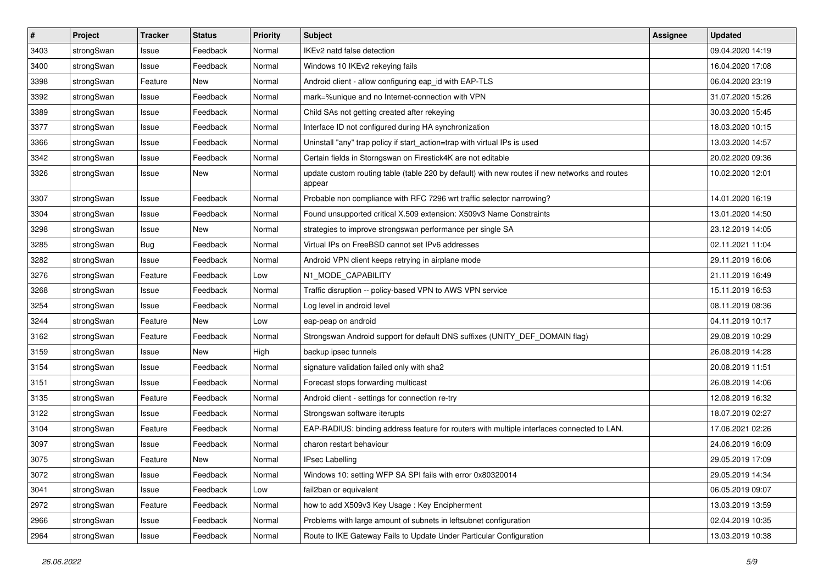| $\sharp$ | Project    | <b>Tracker</b> | <b>Status</b> | <b>Priority</b> | <b>Subject</b>                                                                                          | <b>Assignee</b> | <b>Updated</b>   |
|----------|------------|----------------|---------------|-----------------|---------------------------------------------------------------------------------------------------------|-----------------|------------------|
| 3403     | strongSwan | Issue          | Feedback      | Normal          | IKEv2 natd false detection                                                                              |                 | 09.04.2020 14:19 |
| 3400     | strongSwan | Issue          | Feedback      | Normal          | Windows 10 IKEv2 rekeying fails                                                                         |                 | 16.04.2020 17:08 |
| 3398     | strongSwan | Feature        | New           | Normal          | Android client - allow configuring eap_id with EAP-TLS                                                  |                 | 06.04.2020 23:19 |
| 3392     | strongSwan | Issue          | Feedback      | Normal          | mark=%unique and no Internet-connection with VPN                                                        |                 | 31.07.2020 15:26 |
| 3389     | strongSwan | Issue          | Feedback      | Normal          | Child SAs not getting created after rekeying                                                            |                 | 30.03.2020 15:45 |
| 3377     | strongSwan | Issue          | Feedback      | Normal          | Interface ID not configured during HA synchronization                                                   |                 | 18.03.2020 10:15 |
| 3366     | strongSwan | Issue          | Feedback      | Normal          | Uninstall "any" trap policy if start_action=trap with virtual IPs is used                               |                 | 13.03.2020 14:57 |
| 3342     | strongSwan | Issue          | Feedback      | Normal          | Certain fields in Storngswan on Firestick4K are not editable                                            |                 | 20.02.2020 09:36 |
| 3326     | strongSwan | Issue          | New           | Normal          | update custom routing table (table 220 by default) with new routes if new networks and routes<br>appear |                 | 10.02.2020 12:01 |
| 3307     | strongSwan | Issue          | Feedback      | Normal          | Probable non compliance with RFC 7296 wrt traffic selector narrowing?                                   |                 | 14.01.2020 16:19 |
| 3304     | strongSwan | Issue          | Feedback      | Normal          | Found unsupported critical X.509 extension: X509v3 Name Constraints                                     |                 | 13.01.2020 14:50 |
| 3298     | strongSwan | Issue          | New           | Normal          | strategies to improve strongswan performance per single SA                                              |                 | 23.12.2019 14:05 |
| 3285     | strongSwan | Bug            | Feedback      | Normal          | Virtual IPs on FreeBSD cannot set IPv6 addresses                                                        |                 | 02.11.2021 11:04 |
| 3282     | strongSwan | Issue          | Feedback      | Normal          | Android VPN client keeps retrying in airplane mode                                                      |                 | 29.11.2019 16:06 |
| 3276     | strongSwan | Feature        | Feedback      | Low             | N1_MODE_CAPABILITY                                                                                      |                 | 21.11.2019 16:49 |
| 3268     | strongSwan | Issue          | Feedback      | Normal          | Traffic disruption -- policy-based VPN to AWS VPN service                                               |                 | 15.11.2019 16:53 |
| 3254     | strongSwan | Issue          | Feedback      | Normal          | Log level in android level                                                                              |                 | 08.11.2019 08:36 |
| 3244     | strongSwan | Feature        | New           | Low             | eap-peap on android                                                                                     |                 | 04.11.2019 10:17 |
| 3162     | strongSwan | Feature        | Feedback      | Normal          | Strongswan Android support for default DNS suffixes (UNITY_DEF_DOMAIN flag)                             |                 | 29.08.2019 10:29 |
| 3159     | strongSwan | Issue          | New           | High            | backup ipsec tunnels                                                                                    |                 | 26.08.2019 14:28 |
| 3154     | strongSwan | Issue          | Feedback      | Normal          | signature validation failed only with sha2                                                              |                 | 20.08.2019 11:51 |
| 3151     | strongSwan | Issue          | Feedback      | Normal          | Forecast stops forwarding multicast                                                                     |                 | 26.08.2019 14:06 |
| 3135     | strongSwan | Feature        | Feedback      | Normal          | Android client - settings for connection re-try                                                         |                 | 12.08.2019 16:32 |
| 3122     | strongSwan | Issue          | Feedback      | Normal          | Strongswan software iterupts                                                                            |                 | 18.07.2019 02:27 |
| 3104     | strongSwan | Feature        | Feedback      | Normal          | EAP-RADIUS: binding address feature for routers with multiple interfaces connected to LAN.              |                 | 17.06.2021 02:26 |
| 3097     | strongSwan | Issue          | Feedback      | Normal          | charon restart behaviour                                                                                |                 | 24.06.2019 16:09 |
| 3075     | strongSwan | Feature        | New           | Normal          | <b>IPsec Labelling</b>                                                                                  |                 | 29.05.2019 17:09 |
| 3072     | strongSwan | Issue          | Feedback      | Normal          | Windows 10: setting WFP SA SPI fails with error 0x80320014                                              |                 | 29.05.2019 14:34 |
| 3041     | strongSwan | Issue          | Feedback      | Low             | fail2ban or equivalent                                                                                  |                 | 06.05.2019 09:07 |
| 2972     | strongSwan | Feature        | Feedback      | Normal          | how to add X509v3 Key Usage: Key Encipherment                                                           |                 | 13.03.2019 13:59 |
| 2966     | strongSwan | Issue          | Feedback      | Normal          | Problems with large amount of subnets in leftsubnet configuration                                       |                 | 02.04.2019 10:35 |
| 2964     | strongSwan | Issue          | Feedback      | Normal          | Route to IKE Gateway Fails to Update Under Particular Configuration                                     |                 | 13.03.2019 10:38 |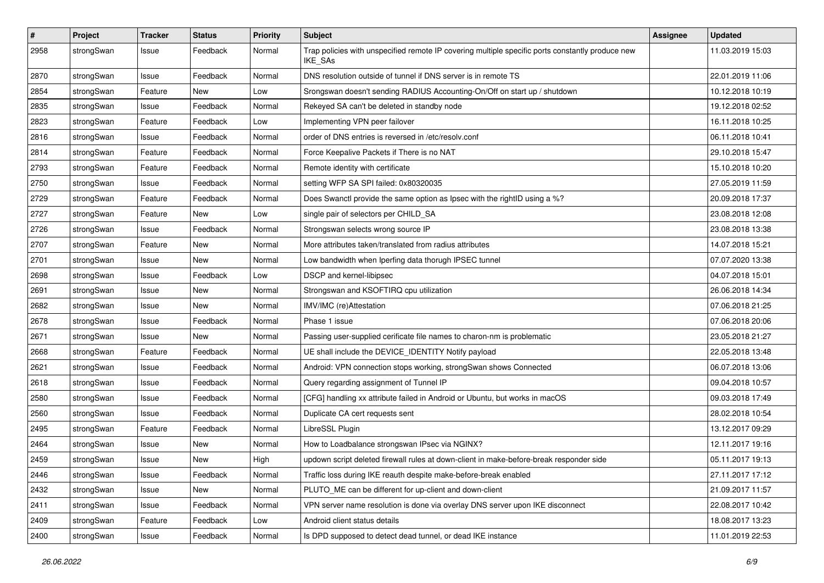| $\pmb{\#}$ | Project    | <b>Tracker</b> | <b>Status</b> | <b>Priority</b> | <b>Subject</b>                                                                                              | <b>Assignee</b> | <b>Updated</b>   |
|------------|------------|----------------|---------------|-----------------|-------------------------------------------------------------------------------------------------------------|-----------------|------------------|
| 2958       | strongSwan | Issue          | Feedback      | Normal          | Trap policies with unspecified remote IP covering multiple specific ports constantly produce new<br>IKE_SAs |                 | 11.03.2019 15:03 |
| 2870       | strongSwan | Issue          | Feedback      | Normal          | DNS resolution outside of tunnel if DNS server is in remote TS                                              |                 | 22.01.2019 11:06 |
| 2854       | strongSwan | Feature        | New           | Low             | Srongswan doesn't sending RADIUS Accounting-On/Off on start up / shutdown                                   |                 | 10.12.2018 10:19 |
| 2835       | strongSwan | Issue          | Feedback      | Normal          | Rekeyed SA can't be deleted in standby node                                                                 |                 | 19.12.2018 02:52 |
| 2823       | strongSwan | Feature        | Feedback      | Low             | Implementing VPN peer failover                                                                              |                 | 16.11.2018 10:25 |
| 2816       | strongSwan | Issue          | Feedback      | Normal          | order of DNS entries is reversed in /etc/resolv.conf                                                        |                 | 06.11.2018 10:41 |
| 2814       | strongSwan | Feature        | Feedback      | Normal          | Force Keepalive Packets if There is no NAT                                                                  |                 | 29.10.2018 15:47 |
| 2793       | strongSwan | Feature        | Feedback      | Normal          | Remote identity with certificate                                                                            |                 | 15.10.2018 10:20 |
| 2750       | strongSwan | Issue          | Feedback      | Normal          | setting WFP SA SPI failed: 0x80320035                                                                       |                 | 27.05.2019 11:59 |
| 2729       | strongSwan | Feature        | Feedback      | Normal          | Does Swanctl provide the same option as Ipsec with the rightID using a %?                                   |                 | 20.09.2018 17:37 |
| 2727       | strongSwan | Feature        | New           | Low             | single pair of selectors per CHILD_SA                                                                       |                 | 23.08.2018 12:08 |
| 2726       | strongSwan | Issue          | Feedback      | Normal          | Strongswan selects wrong source IP                                                                          |                 | 23.08.2018 13:38 |
| 2707       | strongSwan | Feature        | New           | Normal          | More attributes taken/translated from radius attributes                                                     |                 | 14.07.2018 15:21 |
| 2701       | strongSwan | Issue          | New           | Normal          | Low bandwidth when Iperfing data thorugh IPSEC tunnel                                                       |                 | 07.07.2020 13:38 |
| 2698       | strongSwan | Issue          | Feedback      | Low             | DSCP and kernel-libipsec                                                                                    |                 | 04.07.2018 15:01 |
| 2691       | strongSwan | Issue          | New           | Normal          | Strongswan and KSOFTIRQ cpu utilization                                                                     |                 | 26.06.2018 14:34 |
| 2682       | strongSwan | Issue          | New           | Normal          | IMV/IMC (re)Attestation                                                                                     |                 | 07.06.2018 21:25 |
| 2678       | strongSwan | Issue          | Feedback      | Normal          | Phase 1 issue                                                                                               |                 | 07.06.2018 20:06 |
| 2671       | strongSwan | Issue          | New           | Normal          | Passing user-supplied cerificate file names to charon-nm is problematic                                     |                 | 23.05.2018 21:27 |
| 2668       | strongSwan | Feature        | Feedback      | Normal          | UE shall include the DEVICE_IDENTITY Notify payload                                                         |                 | 22.05.2018 13:48 |
| 2621       | strongSwan | Issue          | Feedback      | Normal          | Android: VPN connection stops working, strongSwan shows Connected                                           |                 | 06.07.2018 13:06 |
| 2618       | strongSwan | Issue          | Feedback      | Normal          | Query regarding assignment of Tunnel IP                                                                     |                 | 09.04.2018 10:57 |
| 2580       | strongSwan | Issue          | Feedback      | Normal          | [CFG] handling xx attribute failed in Android or Ubuntu, but works in macOS                                 |                 | 09.03.2018 17:49 |
| 2560       | strongSwan | Issue          | Feedback      | Normal          | Duplicate CA cert requests sent                                                                             |                 | 28.02.2018 10:54 |
| 2495       | strongSwan | Feature        | Feedback      | Normal          | LibreSSL Plugin                                                                                             |                 | 13.12.2017 09:29 |
| 2464       | strongSwan | Issue          | New           | Normal          | How to Loadbalance strongswan IPsec via NGINX?                                                              |                 | 12.11.2017 19:16 |
| 2459       | strongSwan | Issue          | New           | High            | updown script deleted firewall rules at down-client in make-before-break responder side                     |                 | 05.11.2017 19:13 |
| 2446       | strongSwan | Issue          | Feedback      | Normal          | Traffic loss during IKE reauth despite make-before-break enabled                                            |                 | 27.11.2017 17:12 |
| 2432       | strongSwan | Issue          | New           | Normal          | PLUTO_ME can be different for up-client and down-client                                                     |                 | 21.09.2017 11:57 |
| 2411       | strongSwan | Issue          | Feedback      | Normal          | VPN server name resolution is done via overlay DNS server upon IKE disconnect                               |                 | 22.08.2017 10:42 |
| 2409       | strongSwan | Feature        | Feedback      | Low             | Android client status details                                                                               |                 | 18.08.2017 13:23 |
| 2400       | strongSwan | Issue          | Feedback      | Normal          | Is DPD supposed to detect dead tunnel, or dead IKE instance                                                 |                 | 11.01.2019 22:53 |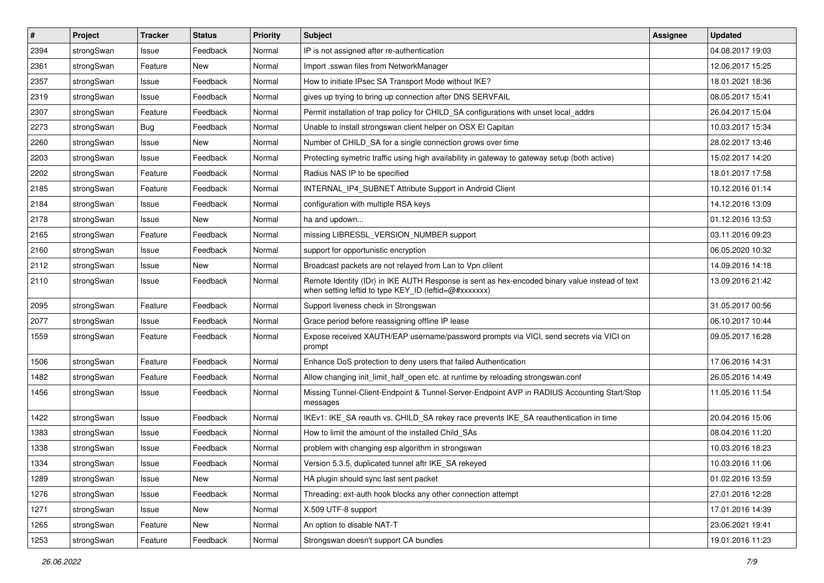| $\pmb{\#}$ | Project    | <b>Tracker</b> | <b>Status</b> | <b>Priority</b> | <b>Subject</b>                                                                                                                                          | <b>Assignee</b> | <b>Updated</b>   |
|------------|------------|----------------|---------------|-----------------|---------------------------------------------------------------------------------------------------------------------------------------------------------|-----------------|------------------|
| 2394       | strongSwan | Issue          | Feedback      | Normal          | IP is not assigned after re-authentication                                                                                                              |                 | 04.08.2017 19:03 |
| 2361       | strongSwan | Feature        | New           | Normal          | Import .sswan files from NetworkManager                                                                                                                 |                 | 12.06.2017 15:25 |
| 2357       | strongSwan | Issue          | Feedback      | Normal          | How to initiate IPsec SA Transport Mode without IKE?                                                                                                    |                 | 18.01.2021 18:36 |
| 2319       | strongSwan | Issue          | Feedback      | Normal          | gives up trying to bring up connection after DNS SERVFAIL                                                                                               |                 | 08.05.2017 15:41 |
| 2307       | strongSwan | Feature        | Feedback      | Normal          | Permit installation of trap policy for CHILD_SA configurations with unset local_addrs                                                                   |                 | 26.04.2017 15:04 |
| 2273       | strongSwan | <b>Bug</b>     | Feedback      | Normal          | Unable to install strongswan client helper on OSX El Capitan                                                                                            |                 | 10.03.2017 15:34 |
| 2260       | strongSwan | Issue          | New           | Normal          | Number of CHILD_SA for a single connection grows over time                                                                                              |                 | 28.02.2017 13:46 |
| 2203       | strongSwan | Issue          | Feedback      | Normal          | Protecting symetric traffic using high availability in gateway to gateway setup (both active)                                                           |                 | 15.02.2017 14:20 |
| 2202       | strongSwan | Feature        | Feedback      | Normal          | Radius NAS IP to be specified                                                                                                                           |                 | 18.01.2017 17:58 |
| 2185       | strongSwan | Feature        | Feedback      | Normal          | INTERNAL_IP4_SUBNET Attribute Support in Android Client                                                                                                 |                 | 10.12.2016 01:14 |
| 2184       | strongSwan | Issue          | Feedback      | Normal          | configuration with multiple RSA keys                                                                                                                    |                 | 14.12.2016 13:09 |
| 2178       | strongSwan | Issue          | New           | Normal          | ha and updown                                                                                                                                           |                 | 01.12.2016 13:53 |
| 2165       | strongSwan | Feature        | Feedback      | Normal          | missing LIBRESSL_VERSION_NUMBER support                                                                                                                 |                 | 03.11.2016 09:23 |
| 2160       | strongSwan | Issue          | Feedback      | Normal          | support for opportunistic encryption                                                                                                                    |                 | 06.05.2020 10:32 |
| 2112       | strongSwan | Issue          | New           | Normal          | Broadcast packets are not relayed from Lan to Vpn clilent                                                                                               |                 | 14.09.2016 14:18 |
| 2110       | strongSwan | Issue          | Feedback      | Normal          | Remote Identity (IDr) in IKE AUTH Response is sent as hex-encoded binary value instead of text<br>when setting leftid to type KEY_ID (leftid=@#xxxxxxx) |                 | 13.09.2016 21:42 |
| 2095       | strongSwan | Feature        | Feedback      | Normal          | Support liveness check in Strongswan                                                                                                                    |                 | 31.05.2017 00:56 |
| 2077       | strongSwan | Issue          | Feedback      | Normal          | Grace period before reassigning offline IP lease                                                                                                        |                 | 06.10.2017 10:44 |
| 1559       | strongSwan | Feature        | Feedback      | Normal          | Expose received XAUTH/EAP username/password prompts via VICI, send secrets via VICI on<br>prompt                                                        |                 | 09.05.2017 16:28 |
| 1506       | strongSwan | Feature        | Feedback      | Normal          | Enhance DoS protection to deny users that failed Authentication                                                                                         |                 | 17.06.2016 14:31 |
| 1482       | strongSwan | Feature        | Feedback      | Normal          | Allow changing init_limit_half_open etc. at runtime by reloading strongswan.conf                                                                        |                 | 26.05.2016 14:49 |
| 1456       | strongSwan | Issue          | Feedback      | Normal          | Missing Tunnel-Client-Endpoint & Tunnel-Server-Endpoint AVP in RADIUS Accounting Start/Stop<br>messages                                                 |                 | 11.05.2016 11:54 |
| 1422       | strongSwan | Issue          | Feedback      | Normal          | IKEv1: IKE_SA reauth vs. CHILD_SA rekey race prevents IKE_SA reauthentication in time                                                                   |                 | 20.04.2016 15:06 |
| 1383       | strongSwan | Issue          | Feedback      | Normal          | How to limit the amount of the installed Child SAs                                                                                                      |                 | 08.04.2016 11:20 |
| 1338       | strongSwan | Issue          | Feedback      | Normal          | problem with changing esp algorithm in strongswan                                                                                                       |                 | 10.03.2016 18:23 |
| 1334       | strongSwan | Issue          | Feedback      | Normal          | Version 5.3.5, duplicated tunnel aftr IKE_SA rekeyed                                                                                                    |                 | 10.03.2016 11:06 |
| 1289       | strongSwan | Issue          | New           | Normal          | HA plugin should sync last sent packet                                                                                                                  |                 | 01.02.2016 13:59 |
| 1276       | strongSwan | Issue          | Feedback      | Normal          | Threading: ext-auth hook blocks any other connection attempt                                                                                            |                 | 27.01.2016 12:28 |
| 1271       | strongSwan | Issue          | New           | Normal          | X.509 UTF-8 support                                                                                                                                     |                 | 17.01.2016 14:39 |
| 1265       | strongSwan | Feature        | New           | Normal          | An option to disable NAT-T                                                                                                                              |                 | 23.06.2021 19:41 |
| 1253       | strongSwan | Feature        | Feedback      | Normal          | Strongswan doesn't support CA bundles                                                                                                                   |                 | 19.01.2016 11:23 |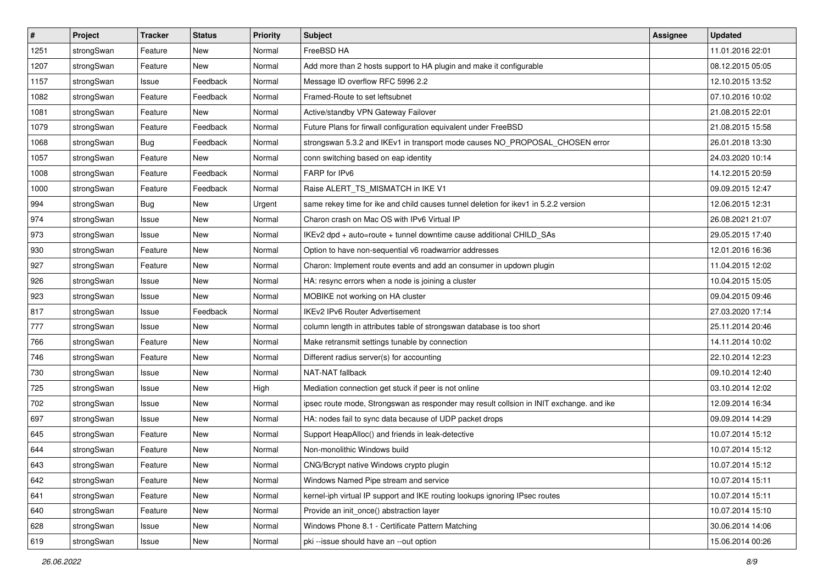| $\sharp$ | Project    | <b>Tracker</b> | <b>Status</b> | <b>Priority</b> | <b>Subject</b>                                                                          | Assignee | <b>Updated</b>   |
|----------|------------|----------------|---------------|-----------------|-----------------------------------------------------------------------------------------|----------|------------------|
| 1251     | strongSwan | Feature        | New           | Normal          | FreeBSD HA                                                                              |          | 11.01.2016 22:01 |
| 1207     | strongSwan | Feature        | New           | Normal          | Add more than 2 hosts support to HA plugin and make it configurable                     |          | 08.12.2015 05:05 |
| 1157     | strongSwan | Issue          | Feedback      | Normal          | Message ID overflow RFC 5996 2.2                                                        |          | 12.10.2015 13:52 |
| 1082     | strongSwan | Feature        | Feedback      | Normal          | Framed-Route to set leftsubnet                                                          |          | 07.10.2016 10:02 |
| 1081     | strongSwan | Feature        | <b>New</b>    | Normal          | Active/standby VPN Gateway Failover                                                     |          | 21.08.2015 22:01 |
| 1079     | strongSwan | Feature        | Feedback      | Normal          | Future Plans for firwall configuration equivalent under FreeBSD                         |          | 21.08.2015 15:58 |
| 1068     | strongSwan | Bug            | Feedback      | Normal          | strongswan 5.3.2 and IKEv1 in transport mode causes NO_PROPOSAL_CHOSEN error            |          | 26.01.2018 13:30 |
| 1057     | strongSwan | Feature        | New           | Normal          | conn switching based on eap identity                                                    |          | 24.03.2020 10:14 |
| 1008     | strongSwan | Feature        | Feedback      | Normal          | FARP for IPv6                                                                           |          | 14.12.2015 20:59 |
| 1000     | strongSwan | Feature        | Feedback      | Normal          | Raise ALERT_TS_MISMATCH in IKE V1                                                       |          | 09.09.2015 12:47 |
| 994      | strongSwan | Bug            | New           | Urgent          | same rekey time for ike and child causes tunnel deletion for ikev1 in 5.2.2 version     |          | 12.06.2015 12:31 |
| 974      | strongSwan | Issue          | New           | Normal          | Charon crash on Mac OS with IPv6 Virtual IP                                             |          | 26.08.2021 21:07 |
| 973      | strongSwan | Issue          | <b>New</b>    | Normal          | IKEv2 dpd + auto=route + tunnel downtime cause additional CHILD_SAs                     |          | 29.05.2015 17:40 |
| 930      | strongSwan | Feature        | New           | Normal          | Option to have non-sequential v6 roadwarrior addresses                                  |          | 12.01.2016 16:36 |
| 927      | strongSwan | Feature        | <b>New</b>    | Normal          | Charon: Implement route events and add an consumer in updown plugin                     |          | 11.04.2015 12:02 |
| 926      | strongSwan | Issue          | New           | Normal          | HA: resync errors when a node is joining a cluster                                      |          | 10.04.2015 15:05 |
| 923      | strongSwan | Issue          | New           | Normal          | MOBIKE not working on HA cluster                                                        |          | 09.04.2015 09:46 |
| 817      | strongSwan | Issue          | Feedback      | Normal          | <b>IKEv2 IPv6 Router Advertisement</b>                                                  |          | 27.03.2020 17:14 |
| 777      | strongSwan | Issue          | New           | Normal          | column length in attributes table of strongswan database is too short                   |          | 25.11.2014 20:46 |
| 766      | strongSwan | Feature        | New           | Normal          | Make retransmit settings tunable by connection                                          |          | 14.11.2014 10:02 |
| 746      | strongSwan | Feature        | New           | Normal          | Different radius server(s) for accounting                                               |          | 22.10.2014 12:23 |
| 730      | strongSwan | Issue          | New           | Normal          | NAT-NAT fallback                                                                        |          | 09.10.2014 12:40 |
| 725      | strongSwan | Issue          | <b>New</b>    | High            | Mediation connection get stuck if peer is not online                                    |          | 03.10.2014 12:02 |
| 702      | strongSwan | Issue          | New           | Normal          | ipsec route mode, Strongswan as responder may result collsion in INIT exchange. and ike |          | 12.09.2014 16:34 |
| 697      | strongSwan | Issue          | New           | Normal          | HA: nodes fail to sync data because of UDP packet drops                                 |          | 09.09.2014 14:29 |
| 645      | strongSwan | Feature        | New           | Normal          | Support HeapAlloc() and friends in leak-detective                                       |          | 10.07.2014 15:12 |
| 644      | strongSwan | Feature        | New           | Normal          | Non-monolithic Windows build                                                            |          | 10.07.2014 15:12 |
| 643      | strongSwan | Feature        | New           | Normal          | CNG/Bcrypt native Windows crypto plugin                                                 |          | 10.07.2014 15:12 |
| 642      | strongSwan | Feature        | New           | Normal          | Windows Named Pipe stream and service                                                   |          | 10.07.2014 15:11 |
| 641      | strongSwan | Feature        | New           | Normal          | kernel-iph virtual IP support and IKE routing lookups ignoring IPsec routes             |          | 10.07.2014 15:11 |
| 640      | strongSwan | Feature        | New           | Normal          | Provide an init_once() abstraction layer                                                |          | 10.07.2014 15:10 |
| 628      | strongSwan | Issue          | New           | Normal          | Windows Phone 8.1 - Certificate Pattern Matching                                        |          | 30.06.2014 14:06 |
| 619      | strongSwan | Issue          | New           | Normal          | pki --issue should have an --out option                                                 |          | 15.06.2014 00:26 |